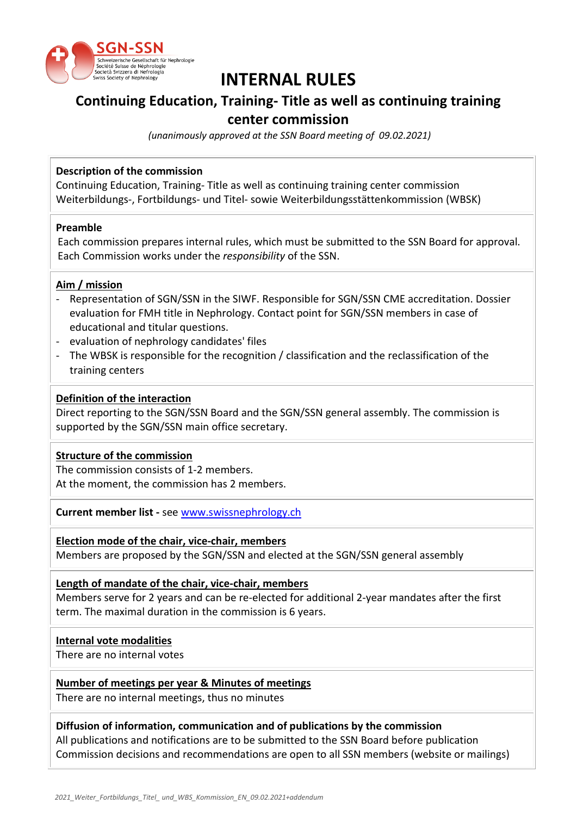

# **INTERNAL RULES**

## **Continuing Education, Training- Title as well as continuing training**

### **center commission**

*(unanimously approved at the SSN Board meeting of 09.02.2021)*

#### **Description of the commission**

Continuing Education, Training- Title as well as continuing training center commission Weiterbildungs-, Fortbildungs- und Titel- sowie Weiterbildungsstättenkommission (WBSK)

#### **Preamble**

Each commission prepares internal rules, which must be submitted to the SSN Board for approval. Each Commission works under the *responsibility* of the SSN.

#### **Aim / mission**

- Representation of SGN/SSN in the SIWF. Responsible for SGN/SSN CME accreditation. Dossier evaluation for FMH title in Nephrology. Contact point for SGN/SSN members in case of educational and titular questions.
- evaluation of nephrology candidates' files
- The WBSK is responsible for the recognition / classification and the reclassification of the training centers

#### **Definition of the interaction**

Direct reporting to the SGN/SSN Board and the SGN/SSN general assembly. The commission is supported by the SGN/SSN main office secretary.

#### **Structure of the commission**

The commission consists of 1-2 members. At the moment, the commission has 2 members.

**Current member list -** se[e www.swissnephrology.ch](http://www.swissnephrology.ch/)

**Election mode of the chair, vice-chair, members** Members are proposed by the SGN/SSN and elected at the SGN/SSN general assembly

**Length of mandate of the chair, vice-chair, members**

Members serve for 2 years and can be re-elected for additional 2-year mandates after the first term. The maximal duration in the commission is 6 years.

#### **Internal vote modalities**

There are no internal votes

#### **Number of meetings per year & Minutes of meetings**

There are no internal meetings, thus no minutes

#### **Diffusion of information, communication and of publications by the commission**

All publications and notifications are to be submitted to the SSN Board before publication Commission decisions and recommendations are open to all SSN members (website or mailings)